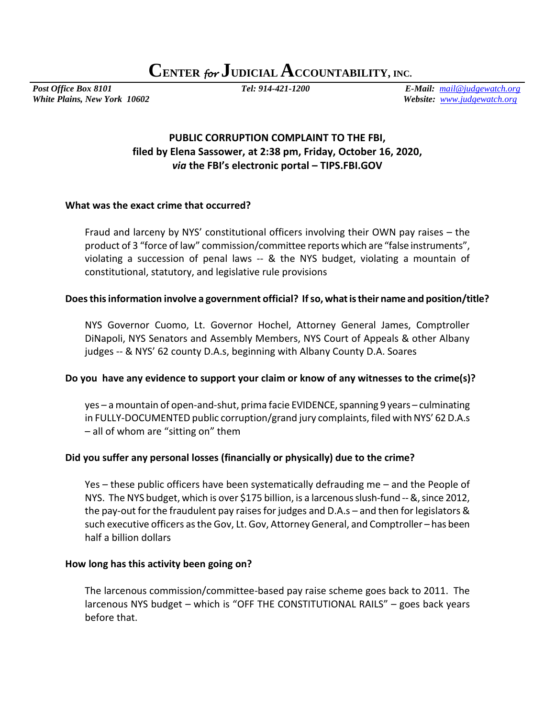**CENTER** *for* **JUDICIAL ACCOUNTABILITY, INC.**

*White Plains, New York 10602 Website: [www.judgewatch.org](http://www.judgewatch.org/)*

*Post Office Box 8101 Tel: 914-421-1200 E-Mail: [mail@judgewatch.org](mailto:mail@judgewatch.org)*

# **PUBLIC CORRUPTION COMPLAINT TO THE FBI, filed by Elena Sassower, at 2:38 pm, Friday, October 16, 2020,**  *via* **the FBI's electronic portal – TIPS.FBI.GOV**

### **What was the exact crime that occurred?**

Fraud and larceny by NYS' constitutional officers involving their OWN pay raises – the product of 3 "force of law" commission/committee reports which are "false instruments", violating a succession of penal laws -- & the NYS budget, violating a mountain of constitutional, statutory, and legislative rule provisions

### **Does this information involve a government official? If so, what is their name and position/title?**

NYS Governor Cuomo, Lt. Governor Hochel, Attorney General James, Comptroller DiNapoli, NYS Senators and Assembly Members, NYS Court of Appeals & other Albany judges -- & NYS' 62 county D.A.s, beginning with Albany County D.A. Soares

### **Do you have any evidence to support your claim or know of any witnesses to the crime(s)?**

yes – a mountain of open-and-shut, prima facie EVIDENCE, spanning 9 years – culminating in FULLY-DOCUMENTED public corruption/grand jury complaints, filed with NYS' 62 D.A.s – all of whom are "sitting on" them

### **Did you suffer any personal losses (financially or physically) due to the crime?**

Yes – these public officers have been systematically defrauding me – and the People of NYS. The NYS budget, which is over \$175 billion, is a larcenousslush-fund --&, since 2012, the pay-out for the fraudulent pay raises for judges and D.A.s – and then for legislators & such executive officers as the Gov, Lt. Gov, Attorney General, and Comptroller – has been half a billion dollars

### **How long has this activity been going on?**

The larcenous commission/committee-based pay raise scheme goes back to 2011. The larcenous NYS budget – which is "OFF THE CONSTITUTIONAL RAILS" – goes back years before that.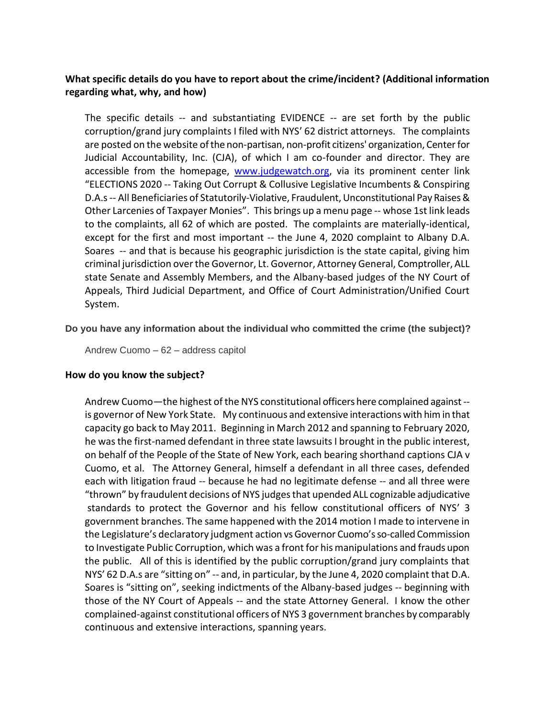## **What specific details do you have to report about the crime/incident? (Additional information regarding what, why, and how)**

The specific details -- and substantiating EVIDENCE -- are set forth by the public corruption/grand jury complaints I filed with NYS' 62 district attorneys. The complaints are posted on the website of the non-partisan, non-profit citizens' organization, Center for Judicial Accountability, Inc. (CJA), of which I am co-founder and director. They are accessible from the homepage, [www.judgewatch.org,](http://www.judgewatch.org/) via its prominent center link "ELECTIONS 2020 -- Taking Out Corrupt & Collusive Legislative Incumbents & Conspiring D.A.s -- All Beneficiaries of Statutorily-Violative, Fraudulent, Unconstitutional Pay Raises & Other Larcenies of Taxpayer Monies". This brings up a menu page -- whose 1st link leads to the complaints, all 62 of which are posted. The complaints are materially-identical, except for the first and most important -- the June 4, 2020 complaint to Albany D.A. Soares -- and that is because his geographic jurisdiction is the state capital, giving him criminal jurisdiction over the Governor, Lt. Governor, Attorney General, Comptroller, ALL state Senate and Assembly Members, and the Albany-based judges of the NY Court of Appeals, Third Judicial Department, and Office of Court Administration/Unified Court System.

**Do you have any information about the individual who committed the crime (the subject)?**

Andrew Cuomo – 62 – address capitol

#### **How do you know the subject?**

Andrew Cuomo—the highest of the NYS constitutional officers here complained against - is governor of New York State. My continuous and extensive interactions with him in that capacity go back to May 2011. Beginning in March 2012 and spanning to February 2020, he was the first-named defendant in three state lawsuits I brought in the public interest, on behalf of the People of the State of New York, each bearing shorthand captions CJA v Cuomo, et al. The Attorney General, himself a defendant in all three cases, defended each with litigation fraud -- because he had no legitimate defense -- and all three were "thrown" by fraudulent decisions of NYS judges that upended ALL cognizable adjudicative standards to protect the Governor and his fellow constitutional officers of NYS' 3 government branches. The same happened with the 2014 motion I made to intervene in the Legislature's declaratory judgment action vs Governor Cuomo's so-called Commission to Investigate Public Corruption, which was a front for his manipulations and frauds upon the public. All of this is identified by the public corruption/grand jury complaints that NYS' 62 D.A.s are "sitting on" -- and, in particular, by the June 4, 2020 complaint that D.A. Soares is "sitting on", seeking indictments of the Albany-based judges -- beginning with those of the NY Court of Appeals -- and the state Attorney General. I know the other complained-against constitutional officers of NYS 3 government branches by comparably continuous and extensive interactions, spanning years.